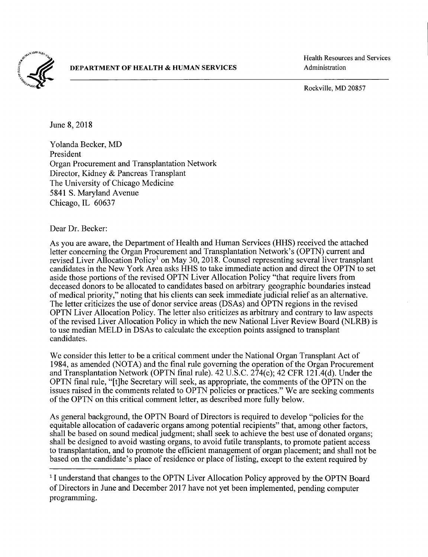

## DEPARTMENT OF HEALTH & HUMAN SERVICES Administration

Health Resources and Services

Rockville, MD 20857

June 8, 2018

Yolanda Becker, MD President Organ Procurement and Transplantation Network Director, Kidney & Pancreas Transplant The University of Chicago Medicine 5841 S. Maryland Avenue Chicago, IL 60637

Dear Dr. Becker:

As you are aware, the Department of Health and Human Services (HHS) received the attached letter concerning the Organ Procurement and Transplantation Network's (OPTN) current and revised Liver Allocation Policy<sup>1</sup> on May 30, 2018. Counsel representing several liver transplant candidates in the New York Area asks HHS to take immediate action and direct the OPTN to set aside those portions of the revised OPTN Liver Allocation Policy "that require livers from deceased donors to be allocated to candidates based on arbitrary geographic boundaries instead of medical priority," noting that his clients can seek immediate judicial relief as an alternative. The letter criticizes the use of donor service areas (DSAs) and OPTN regions in the revised OPTN Liver Allocation Policy. The letter also criticizes as arbitrary and contrary to law aspects of the revised Liver Allocation Policy in which the new National Liver Review Board (NLRB) is to use median MELD in DSAs to calculate the exception points assigned to transplant candidates.

We consider this letter to be a critical comment under the National Organ Transplant Act of 1984, as amended (NOTA) and the final rule governing the operation of the Organ Procurement and Transplantation Network (OPTN final rule). 42 U.S.C. 274(c); 42 CFR 121.4(d). Under the OPTN final rule, "[t]he Secretary will seek, as appropriate, the comments of the OPTN on the issues raised in the comments related to OPTN policies or practices." We are seeking comments of the OPTN on this critical comment letter, as described more fully below.

As general background, the OPTN Board of Directors is required to develop "policies for the equitable allocation of cadaveric organs among potential recipients" that, among other factors, shall be based on sound medical judgment; shall seek to achieve the best use of donated organs; shall be designed to avoid wasting organs, to avoid futile transplants, to promote patient access to transplantation, and to promote the efficient management of organ placement; and shall not be based on the candidate's place of residence or place of listing, except to the extent required by

<sup>&</sup>lt;sup>1</sup>I understand that changes to the OPTN Liver Allocation Policy approved by the OPTN Board of Directors in June and December 2017 have not yet been implemented, pending computer programming.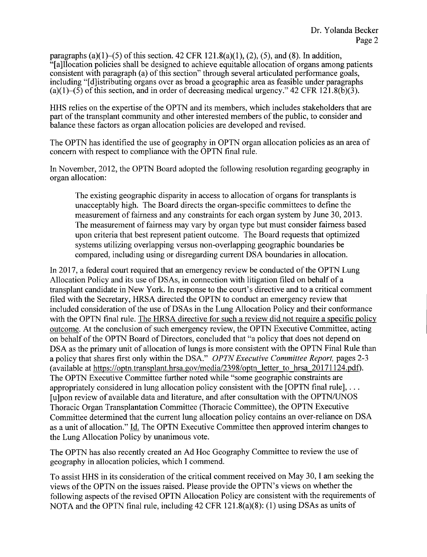paragraphs (a)(1)–(5) of this section. 42 CFR 121.8(a)(1), (2), (5), and (8). In addition, "[a]llocation policies shall be designed to achieve equitable allocation of organs among patients consistent with paragraph (a) of this section" through several articulated performance goals, including "[d]istributing organs over as broad a geographic area as feasible under paragraphs (a)(1)–(5) of this section, and in order of decreasing medical urgency." 42 CFR 121.8(b)(3).

HHS relies on the expertise of the OPTN and its members, which includes stakeholders that are part of the transplant community and other interested members of the public, to consider and balance these factors as organ allocation policies are developed and revised.

The OPTN has identified the use of geography in OPTN organ allocation policies as an area of concern with respect to compliance with the OPTN final rule.

In November, 2012, the OPTN Board adopted the following resolution regarding geography in organ allocation:

The existing geographic disparity in access to allocation of organs for transplants is unacceptably high. The Board directs the organ-specific committees to define the measurement of fairness and any constraints for each organ system by June 30, 2013. The measurement of fairness may vary by organ type but must consider fairness based upon criteria that best represent patient outcome. The Board requests that optimized systems utilizing overlapping versus non-overlapping geographic boundaries be compared, including using or disregarding current DSA boundaries in allocation.

In 2017, a federal court required that an emergency review be conducted of the OPTN Lung Allocation Policy and its use of DSAs, in connection with litigation filed on behalf of a transplant candidate in New York. In response to the court's directive and to a critical comment filed with the Secretary, HRSA directed the OPTN to conduct an emergency review that included consideration of the use of DSAs in the Lung Allocation Policy and their conformance with the OPTN final rule. The HRSA directive for such a review did not require a specific policy outcome. At the conclusion of such emergency review, the OPTN Executive Committee, acting on behalf of the OPTN Board of Directors, concluded that "a policy that does not depend on DSA as the primary unit of allocation of lungs is more consistent with the OPTN Final Rule than a policy that shares first only within the DSA." *OPTN Executive Committee Report,* pages 2-3 (available at https://optn.transplant.hrsa.gov/media/2398/optn letter to hrsa 20171124.pdf). The OPTN Executive Committee further noted while "some geographic constraints are appropriately considered in lung allocation policy consistent with the [OPTN final rule],  $\dots$ [u]pon review of available data and literature, and after consultation with the OPTN/UNOS Thoracic Organ Transplantation Committee (Thoracic Committee), the OPTN Executive Committee determined that the current lung allocation policy contains an over-reliance on DSA as a unit of allocation." Id. The OPTN Executive Committee then approved interim changes to the Lung Allocation Policy by unanimous vote.

The OPTN has also recently created an Ad Hoc Geography Committee to review the use of geography in allocation policies, which I commend.

To assist HHS in its consideration of the critical comment received on May 30, I am seeking the views of the OPTN on the issues raised. Please provide the OPTN's views on whether the following aspects of the revised OPTN Allocation Policy are consistent with the requirements of NOTA and the OPTN final rule, including 42 CFR 121.8(a)(8): (1) using DSAs as units of